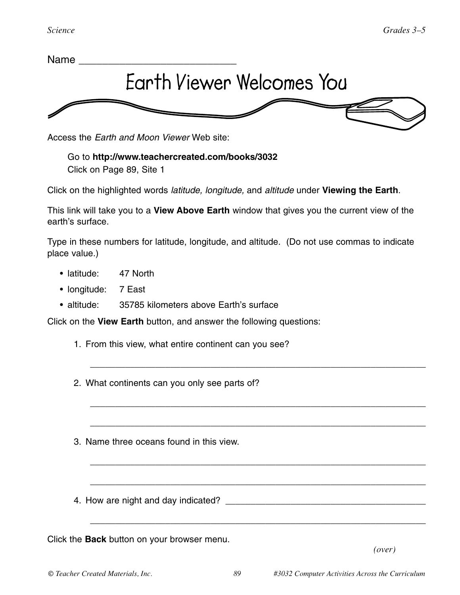

Access the *Earth and Moon Viewer* Web site:

Go to **http://www.teachercreated.com/books/3032** Click on Page 89, Site 1

Click on the highlighted words *latitude, longitude,* and *altitude* under **Viewing the Earth**.

This link will take you to a **View Above Earth** window that gives you the current view of the earth's surface.

Type in these numbers for latitude, longitude, and altitude. (Do not use commas to indicate place value.)

\_\_\_\_\_\_\_\_\_\_\_\_\_\_\_\_\_\_\_\_\_\_\_\_\_\_\_\_\_\_\_\_\_\_\_\_\_\_\_\_\_\_\_\_\_\_\_\_\_\_\_\_\_\_\_\_\_\_\_\_\_\_\_\_\_\_\_

\_\_\_\_\_\_\_\_\_\_\_\_\_\_\_\_\_\_\_\_\_\_\_\_\_\_\_\_\_\_\_\_\_\_\_\_\_\_\_\_\_\_\_\_\_\_\_\_\_\_\_\_\_\_\_\_\_\_\_\_\_\_\_\_\_\_\_

\_\_\_\_\_\_\_\_\_\_\_\_\_\_\_\_\_\_\_\_\_\_\_\_\_\_\_\_\_\_\_\_\_\_\_\_\_\_\_\_\_\_\_\_\_\_\_\_\_\_\_\_\_\_\_\_\_\_\_\_\_\_\_\_\_\_\_

\_\_\_\_\_\_\_\_\_\_\_\_\_\_\_\_\_\_\_\_\_\_\_\_\_\_\_\_\_\_\_\_\_\_\_\_\_\_\_\_\_\_\_\_\_\_\_\_\_\_\_\_\_\_\_\_\_\_\_\_\_\_\_\_\_\_\_

\_\_\_\_\_\_\_\_\_\_\_\_\_\_\_\_\_\_\_\_\_\_\_\_\_\_\_\_\_\_\_\_\_\_\_\_\_\_\_\_\_\_\_\_\_\_\_\_\_\_\_\_\_\_\_\_\_\_\_\_\_\_\_\_\_\_\_

\_\_\_\_\_\_\_\_\_\_\_\_\_\_\_\_\_\_\_\_\_\_\_\_\_\_\_\_\_\_\_\_\_\_\_\_\_\_\_\_\_\_\_\_\_\_\_\_\_\_\_\_\_\_\_\_\_\_\_\_\_\_\_\_\_\_\_

- latitude: 47 North
- longitude: 7 East
- altitude: 35785 kilometers above Earth's surface

Click on the **View Earth** button, and answer the following questions:

- 1. From this view, what entire continent can you see?
- 2. What continents can you only see parts of?
- 3. Name three oceans found in this view.
- 4. How are night and day indicated?

Click the **Back** button on your browser menu.

*(over)*